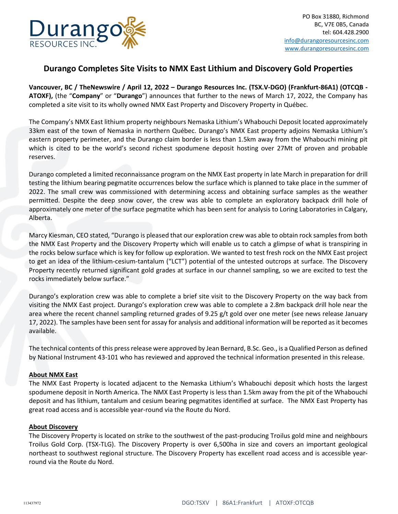

# **Durango Completes Site Visits to NMX East Lithium and Discovery Gold Properties**

**Vancouver, BC / TheNewswire / April 12, 2022 – Durango Resources Inc. (TSX.V-DGO) (Frankfurt-86A1) (OTCQB - ATOXF),** (the "**Company**" or "**Durango**") announces that further to the news of March 17, 2022, the Company has completed a site visit to its wholly owned NMX East Property and Discovery Property in Québec.

The Company's NMX East lithium property neighbours Nemaska Lithium's Whabouchi Deposit located approximately 33km east of the town of Nemaska in northern Québec. Durango's NMX East property adjoins Nemaska Lithium's eastern property perimeter, and the Durango claim border is less than 1.5km away from the Whabouchi mining pit which is cited to be the world's second richest spodumene deposit hosting over 27Mt of proven and probable reserves.

Durango completed a limited reconnaissance program on the NMX East property in late March in preparation for drill testing the lithium bearing pegmatite occurrences below the surface which is planned to take place in the summer of 2022. The small crew was commissioned with determining access and obtaining surface samples as the weather permitted. Despite the deep snow cover, the crew was able to complete an exploratory backpack drill hole of approximately one meter of the surface pegmatite which has been sent for analysis to Loring Laboratories in Calgary, Alberta.

Marcy Kiesman, CEO stated, "Durango is pleased that our exploration crew was able to obtain rock samples from both the NMX East Property and the Discovery Property which will enable us to catch a glimpse of what is transpiring in the rocks below surface which is key for follow up exploration. We wanted to test fresh rock on the NMX East project to get an idea of the lithium-cesium-tantalum ("LCT") potential of the untested outcrops at surface. The Discovery Property recently returned significant gold grades at surface in our channel sampling, so we are excited to test the rocks immediately below surface."

Durango's exploration crew was able to complete a brief site visit to the Discovery Property on the way back from visiting the NMX East project. Durango's exploration crew was able to complete a 2.8m backpack drill hole near the area where the recent channel sampling returned grades of 9.25 g/t gold over one meter (see news release January 17, 2022). The samples have been sent for assay for analysis and additional information will be reported as it becomes available.

The technical contents of this press release were approved by Jean Bernard, B.Sc. Geo., is a Qualified Person as defined by National Instrument 43-101 who has reviewed and approved the technical information presented in this release.

### **About NMX East**

The NMX East Property is located adjacent to the Nemaska Lithium's Whabouchi deposit which hosts the largest spodumene deposit in North America. The NMX East Property is less than 1.5km away from the pit of the Whabouchi deposit and has lithium, tantalum and cesium bearing pegmatites identified at surface. The NMX East Property has great road access and is accessible year-round via the Route du Nord.

#### **About Discovery**

The Discovery Property is located on strike to the southwest of the past-producing Troilus gold mine and neighbours Troilus Gold Corp. (TSX-TLG). The Discovery Property is over 6,500ha in size and covers an important geological northeast to southwest regional structure. The Discovery Property has excellent road access and is accessible yearround via the Route du Nord.